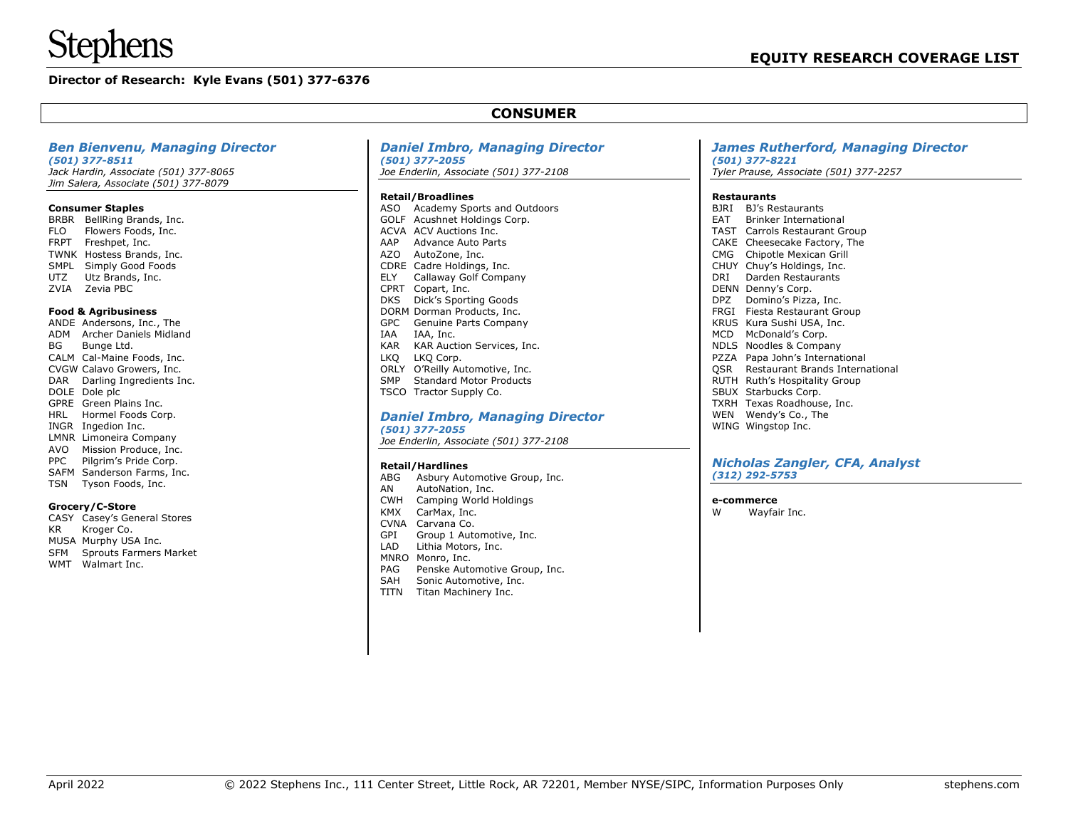# **nens**

# **Director of Research: Kyle Evans (501) 377-6376**

# **CONSUMER**

#### *Ben Bienvenu, Managing Director*

*(501) 377-8511 Jack Hardin, Associate (501) 377-8065 Jim Salera, Associate (501) 377-8079*

#### **Consumer Staples**

BRBR BellRing Brands, Inc. FLO Flowers Foods, Inc. FRPT Freshpet, Inc. TWNK Hostess Brands, Inc. SMPL Simply Good Foods UTZ Utz Brands, Inc. ZVIA Zevia PBC

#### **Food & Agribusiness**

ANDE Andersons, Inc., The ADM Archer Daniels Midland BG Bunge Ltd. CALM Cal-Maine Foods, Inc. CVGW Calavo Growers, Inc. DAR Darling Ingredients Inc. DOLE Dole plc GPRE Green Plains Inc. HRL Hormel Foods Corp. INGR Ingedion Inc. LMNR Limoneira Company AVO Mission Produce, Inc. PPC Pilgrim's Pride Corp. SAFM Sanderson Farms, Inc. TSN Tyson Foods, Inc.

#### **Grocery/C-Store**

- CASY Casey's General Stores KR Kroger Co. MUSA Murphy USA Inc. SFM Sprouts Farmers Market
- WMT Walmart Inc.

#### *Daniel Imbro, Managing Director (501) 377-2055*

*Joe Enderlin, Associate (501) 377-2108*

#### **Retail/Broadlines**

| ASO        | <b>Academy Sports and Outdoors</b> |
|------------|------------------------------------|
| GOLF       | Acushnet Holdings Corp.            |
| ACVA       | ACV Auctions Inc.                  |
| AAP        | Advance Auto Parts                 |
| AZO        | AutoZone, Inc.                     |
| CDRE       | Cadre Holdings, Inc.               |
| ELY        | Callaway Golf Company              |
| CPRT       | Copart, Inc.                       |
| DKS        | Dick's Sporting Goods              |
| DORM       | Dorman Products, Inc.              |
| GPC.       | Genuine Parts Company              |
| <b>TAA</b> | IAA, Inc.                          |
| KAR        | KAR Auction Services, Inc.         |
| LKO        | LKQ Corp.                          |
| ORLY       | O'Reilly Automotive, Inc.          |
| <b>SMP</b> | <b>Standard Motor Products</b>     |
| TSCO       | Tractor Supply Co.                 |
|            |                                    |

#### *Daniel Imbro, Managing Director (501) 377-2055*

*Joe Enderlin, Associate (501) 377-2108*

#### **Retail/Hardlines**

- ABG Asbury Automotive Group, Inc.
- AN AutoNation, Inc.
- CWH Camping World Holdings
- KMX CarMax, Inc.
- CVNA Carvana Co.
- GPI Group 1 Automotive, Inc.
- LAD Lithia Motors, Inc. MNRO Monro, Inc.
- PAG Penske Automotive Group, Inc.
- SAH Sonic Automotive, Inc.
- TITN Titan Machinery Inc.

#### *James Rutherford, Managing Director (501) 377-8221 Tyler Prause, Associate (501) 377-2257*

#### **Restaurants**

BJRI BJ's Restaurants EAT Brinker International TAST Carrols Restaurant Group CAKE Cheesecake Factory, The CMG Chipotle Mexican Grill CHUY Chuy's Holdings, Inc. DRI Darden Restaurants DENN Denny's Corp. DPZ Domino's Pizza, Inc. FRGI Fiesta Restaurant Group KRUS Kura Sushi USA, Inc. MCD McDonald's Corp. NDLS Noodles & Company PZZA Papa John's International QSR Restaurant Brands International RUTH Ruth's Hospitality Group SBUX Starbucks Corp. TXRH Texas Roadhouse, Inc. WEN Wendy's Co., The WING Wingstop Inc.

#### *Nicholas Zangler, CFA, Analyst (312) 292-5753*

#### **e-commerce**

W Wayfair Inc.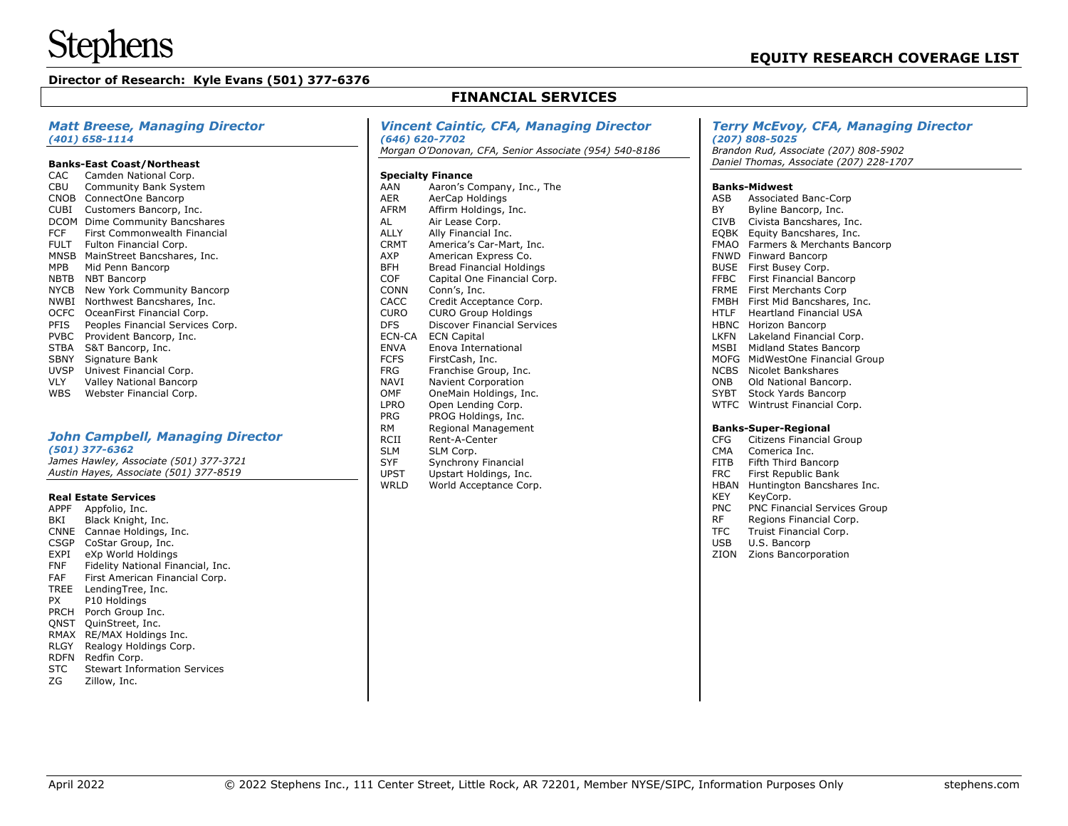# **Director of Research: Kyle Evans (501) 377-6376**

# **FINANCIAL SERVICES**

#### *Matt Breese, Managing Director (401) 658-1114*

#### **Banks-East Coast/Northeast**

| CAC         | Camden National Corp.            |
|-------------|----------------------------------|
| CBU         | Community Bank System            |
| <b>CNOB</b> | ConnectOne Bancorp               |
| <b>CUBI</b> | Customers Bancorp, Inc.          |
| <b>DCOM</b> | Dime Community Bancshares        |
| FCF         | First Commonwealth Financial     |
| FULT        | Fulton Financial Corp.           |
| MNSB        | MainStreet Bancshares, Inc.      |
| MPB         | Mid Penn Bancorp                 |
| NBTB        | <b>NBT Bancorp</b>               |
| <b>NYCB</b> | New York Community Bancorp       |
| <b>NWBI</b> | Northwest Bancshares, Inc.       |
| OCFC        | OceanFirst Financial Corp.       |
| PFIS        | Peoples Financial Services Corp. |
| <b>PVBC</b> | Provident Bancorp, Inc.          |
| <b>STBA</b> | S&T Bancorp, Inc.                |
| <b>SBNY</b> | Signature Bank                   |
| <b>UVSP</b> | Univest Financial Corp.          |
|             |                                  |
| VLY         | <b>Valley National Bancorp</b>   |

# *John Campbell, Managing Director*

*(501) 377-6362*

*James Hawley, Associate (501) 377-3721 Austin Hayes, Associate (501) 377-8519*

#### **Real Estate Services**

- APPF Appfolio, Inc. BKI Black Knight, Inc. CNNE Cannae Holdings, Inc. CSGP CoStar Group, Inc. EXPI eXp World Holdings FNF Fidelity National Financial, Inc. FAF First American Financial Corp. TREE LendingTree, Inc. PX P10 Holdings PRCH Porch Group Inc. QNST QuinStreet, Inc. RMAX RE/MAX Holdings Inc. RLGY Realogy Holdings Corp. RDFN Redfin Corp. STC Stewart Information Services
- ZG Zillow, Inc.

#### *Vincent Caintic, CFA, Managing Director (646) 620-7702*

*Morgan O'Donovan, CFA, Senior Associate (954) 540-8186*

#### **Specialty Finance**

| Aaron's Company, Inc., The         |
|------------------------------------|
| AerCap Holdings                    |
| Affirm Holdings, Inc.              |
| Air Lease Corp.                    |
| Ally Financial Inc.                |
| America's Car-Mart, Inc.           |
| American Express Co.               |
| <b>Bread Financial Holdings</b>    |
| Capital One Financial Corp.        |
| Conn's, Inc.                       |
| Credit Acceptance Corp.            |
| <b>CURO Group Holdings</b>         |
| <b>Discover Financial Services</b> |
| <b>ECN Capital</b>                 |
| Enova International                |
| FirstCash, Inc.                    |
| Franchise Group, Inc.              |
| Navient Corporation                |
| OneMain Holdings, Inc.             |
| Open Lending Corp.                 |
| PROG Holdings, Inc.                |
| Regional Management                |
| Rent-A-Center                      |
| SLM Corp.                          |
| Synchrony Financial                |
| Upstart Holdings, Inc.             |
|                                    |

# WRLD World Acceptance Corp.

### *Terry McEvoy, CFA, Managing Director (207) 808-5025*

*Brandon Rud, Associate (207) 808-5902 Daniel Thomas, Associate (207) 228-1707*

#### **Banks-Midwest**

| ASB         | <b>Associated Banc-Corp</b>    |
|-------------|--------------------------------|
| BY          | Byline Bancorp, Inc.           |
| CIVB        | Civista Bancshares, Inc.       |
| EOBK        | Equity Bancshares, Inc.        |
| FMAO        | Farmers & Merchants Bancorp    |
| FNWD        | Finward Bancorp                |
| BUSE        | First Busey Corp.              |
| FFBC        | First Financial Bancorp        |
| FRME        | <b>First Merchants Corp</b>    |
| FMBH        | First Mid Bancshares, Inc.     |
| HTLF        | <b>Heartland Financial USA</b> |
| HBNC        | Horizon Bancorp                |
| LKFN        | Lakeland Financial Corp.       |
| MSBI        | Midland States Bancorp         |
| MOFG        | MidWestOne Financial Group     |
| NCBS        | Nicolet Bankshares             |
| ONB         | Old National Bancorp.          |
| SYBT        | <b>Stock Yards Bancorp</b>     |
| <b>WTFC</b> | Wintrust Financial Corp.       |
|             | <b>Banks-Super-Regional</b>    |
| CFG         | Citizens Financial Group       |
| CMA         | Comerica Inc.                  |
| FITB        | Fifth Third Bancorp            |
| FRC.        | First Republic Bank            |
| HBAN        | Huntington Bancshares Inc.     |
| KEY         | KeyCorp.                       |
| <b>PNC</b>  | PNC Financial Services Group   |

- 
- RF Regions Financial Corp.<br>TFC Truist Financial Corp. Truist Financial Corp.
- USB U.S. Bancorp
- ZION Zions Bancorporation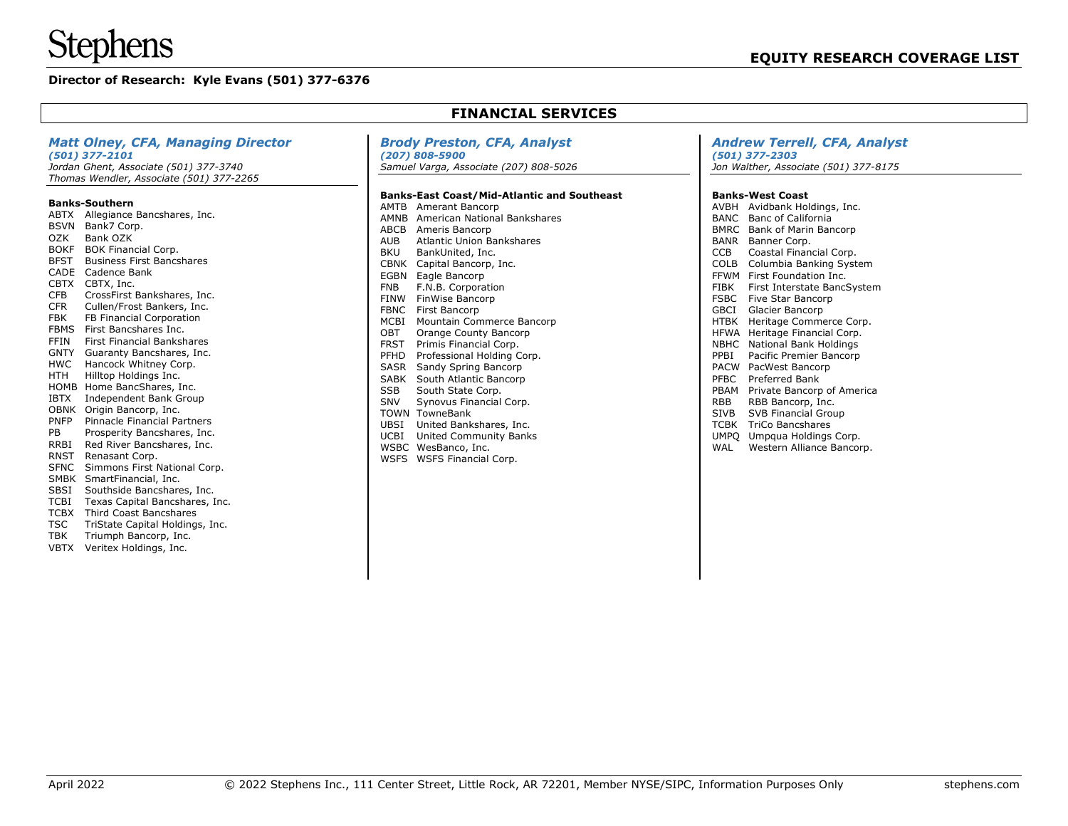# **Stephens**

# **Director of Research: Kyle Evans (501) 377-6376**

| <b>FINANCIAL SERVICES</b>                                                                                                                                                                                                                                                                                                                                                                                                                                                                                                                           |                                                                                                                                                                                                                                                                                                                                                                                                                                                                       |                                                                                                                                                                                                                                                                                                                                                                                                                                                                        |  |  |
|-----------------------------------------------------------------------------------------------------------------------------------------------------------------------------------------------------------------------------------------------------------------------------------------------------------------------------------------------------------------------------------------------------------------------------------------------------------------------------------------------------------------------------------------------------|-----------------------------------------------------------------------------------------------------------------------------------------------------------------------------------------------------------------------------------------------------------------------------------------------------------------------------------------------------------------------------------------------------------------------------------------------------------------------|------------------------------------------------------------------------------------------------------------------------------------------------------------------------------------------------------------------------------------------------------------------------------------------------------------------------------------------------------------------------------------------------------------------------------------------------------------------------|--|--|
| <b>Matt Olney, CFA, Managing Director</b><br>$(501)$ 377-2101<br>Jordan Ghent, Associate (501) 377-3740<br>Thomas Wendler, Associate (501) 377-2265<br><b>Banks-Southern</b><br>ABTX Allegiance Bancshares, Inc.<br>BSVN Bank7 Corp.<br>OZK<br>Bank OZK<br><b>BOKF</b><br><b>BOK Financial Corp.</b><br><b>BFST</b><br><b>Business First Bancshares</b><br>CADE Cadence Bank<br>CBTX CBTX, Inc.                                                                                                                                                     | <b>Brody Preston, CFA, Analyst</b><br>$(207) 808 - 5900$<br>Samuel Varga, Associate (207) 808-5026<br><b>Banks-East Coast/Mid-Atlantic and Southeast</b><br><b>AMTB</b> Amerant Bancorp<br>AMNB American National Bankshares<br>ABCB<br>Ameris Bancorp<br><b>AUB</b><br><b>Atlantic Union Bankshares</b><br><b>BKU</b><br>BankUnited, Inc.<br><b>CBNK</b><br>Capital Bancorp, Inc.<br>EGBN<br>Eagle Bancorp<br><b>FNB</b><br>F.N.B. Corporation                       | <b>Andrew Terrell, CFA, Analyst</b><br>$(501)$ 377-2303<br>Jon Walther, Associate (501) 377-8175<br><b>Banks-West Coast</b><br>AVBH Avidbank Holdings, Inc.<br><b>BANC</b> Banc of California<br><b>BMRC</b> Bank of Marin Bancorp<br>BANR Banner Corp.<br><b>CCB</b><br>Coastal Financial Corp.<br><b>COLB</b><br>Columbia Banking System<br>FFWM First Foundation Inc.<br><b>FIBK</b><br>First Interstate BancSystem                                                 |  |  |
| <b>CFB</b><br>CrossFirst Bankshares, Inc.<br><b>CFR</b><br>Cullen/Frost Bankers, Inc.<br><b>FBK</b><br>FB Financial Corporation<br>First Bancshares Inc.<br><b>FBMS</b><br><b>FFIN</b><br><b>First Financial Bankshares</b><br>Guaranty Bancshares, Inc.<br><b>GNTY</b><br>Hancock Whitney Corp.<br><b>HWC</b><br><b>HTH</b><br>Hilltop Holdings Inc.<br>HOMB Home BancShares, Inc.<br><b>IBTX</b><br>Independent Bank Group<br>OBNK Origin Bancorp, Inc.<br>PNFP<br><b>Pinnacle Financial Partners</b><br><b>PB</b><br>Prosperity Bancshares, Inc. | <b>FINW</b><br>FinWise Bancorp<br><b>FBNC</b><br>First Bancorp<br><b>MCBI</b><br>Mountain Commerce Bancorp<br>OBT<br>Orange County Bancorp<br><b>FRST</b><br>Primis Financial Corp.<br>PFHD<br>Professional Holding Corp.<br>SASR<br>Sandy Spring Bancorp<br>South Atlantic Bancorp<br>SABK<br><b>SSB</b><br>South State Corp.<br>SNV<br>Synovus Financial Corp.<br><b>TOWN TowneBank</b><br>UBSI<br>United Bankshares, Inc.<br>UCBI<br><b>United Community Banks</b> | <b>FSBC</b><br>Five Star Bancorp<br><b>GBCI</b><br>Glacier Bancorp<br><b>HTBK</b><br>Heritage Commerce Corp.<br>HFWA Heritage Financial Corp.<br>NBHC National Bank Holdings<br>PPBI<br>Pacific Premier Bancorp<br><b>PACW</b> PacWest Bancorp<br><b>PFBC</b><br>Preferred Bank<br>PBAM<br>Private Bancorp of America<br><b>RBB</b><br>RBB Bancorp, Inc.<br><b>SIVB</b><br>SVB Financial Group<br><b>TCBK</b><br><b>TriCo Bancshares</b><br>UMPQ Umpqua Holdings Corp. |  |  |
| <b>RRBI</b><br>Red River Bancshares, Inc.<br><b>RNST</b><br>Renasant Corp.<br><b>SFNC</b><br>Simmons First National Corp.<br>SMBK SmartFinancial, Inc.<br>SBSI<br>Southside Bancshares, Inc.<br><b>TCBI</b><br>Texas Capital Bancshares, Inc.<br><b>TCBX</b><br>Third Coast Bancshares<br><b>TSC</b><br>TriState Capital Holdings, Inc.<br>Triumph Bancorp, Inc.<br><b>TBK</b>                                                                                                                                                                      | WSBC WesBanco, Inc.<br>WSFS WSFS Financial Corp.                                                                                                                                                                                                                                                                                                                                                                                                                      | WAL<br>Western Alliance Bancorp.                                                                                                                                                                                                                                                                                                                                                                                                                                       |  |  |

VBTX Veritex Holdings, Inc.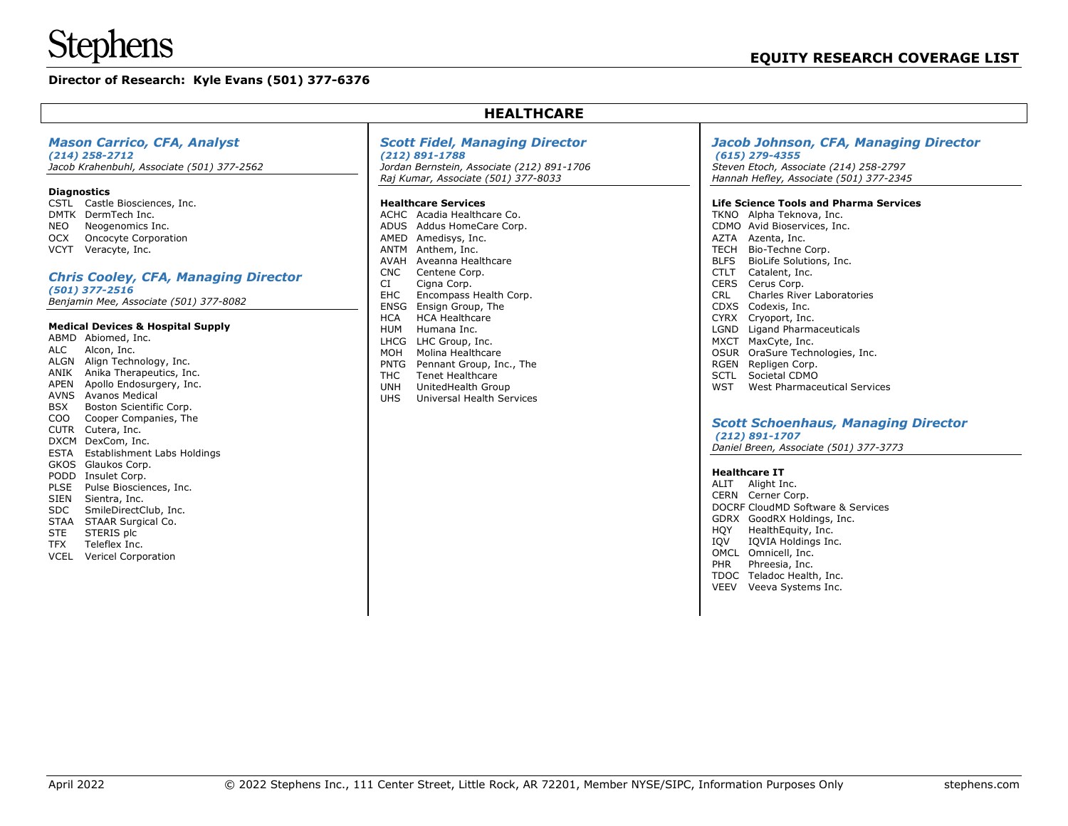# **Stephens**

# **Director of Research: Kyle Evans (501) 377-6376**

| <b>Mason Carrico, CFA, Analyst</b><br>$(214)$ 258-2712<br>Jacob Krahenbuhl, Associate (501) 377-2562                                                                                                                                                                                    | <b>Scott Fidel, Managing Director</b><br>$(212) 891 - 1788$<br>Jordan Bernstein, Associate (212) 891-1706<br>Raj Kumar, Associate (501) 377-8033                                                                                                                                           | Jacob Johnson, CFA, Managi<br>$(615)$ 279-4355<br>Steven Etoch, Associate (214) 258-2797<br>Hannah Hefley, Associate (501) 377-234                                                                                            |
|-----------------------------------------------------------------------------------------------------------------------------------------------------------------------------------------------------------------------------------------------------------------------------------------|--------------------------------------------------------------------------------------------------------------------------------------------------------------------------------------------------------------------------------------------------------------------------------------------|-------------------------------------------------------------------------------------------------------------------------------------------------------------------------------------------------------------------------------|
| <b>Diagnostics</b><br>CSTL Castle Biosciences, Inc.<br>DMTK DermTech Inc.<br><b>NEO</b><br>Neogenomics Inc.<br><b>OCX</b><br><b>Oncocyte Corporation</b><br>VCYT Veracyte, Inc.                                                                                                         | <b>Healthcare Services</b><br>ACHC Acadia Healthcare Co.<br>ADUS Addus HomeCare Corp.<br>AMED Amedisys, Inc.<br><b>ANTM</b><br>Anthem, Inc.<br><b>AVAH</b><br>Aveanna Healthcare                                                                                                           | <b>Life Science Tools and Pharma Servi</b><br>TKNO Alpha Teknova, Inc.<br>CDMO Avid Bioservices, Inc.<br>AZTA Azenta, Inc.<br><b>TECH</b><br>Bio-Techne Corp.<br><b>BLFS</b><br>BioLife Solutions, Inc.                       |
| <b>Chris Cooley, CFA, Managing Director</b><br>$(501)$ 377-2516<br>Benjamin Mee, Associate (501) 377-8082                                                                                                                                                                               | <b>CNC</b><br>Centene Corp.<br>CI<br>Cigna Corp.<br><b>EHC</b><br>Encompass Health Corp.<br><b>ENSG</b><br>Ensign Group, The                                                                                                                                                               | <b>CTLT</b><br>Catalent, Inc.<br><b>CERS</b><br>Cerus Corp.<br><b>CRL</b><br>Charles River Laboratories<br><b>CDXS</b><br>Codexis, Inc.                                                                                       |
| <b>Medical Devices &amp; Hospital Supply</b><br>ABMD Abiomed, Inc.<br><b>ALC</b><br>Alcon, Inc.<br>ALGN Align Technology, Inc.<br>ANIK<br>Anika Therapeutics, Inc.<br><b>APEN</b><br>Apollo Endosurgery, Inc.<br><b>AVNS</b><br>Avanos Medical<br><b>BSX</b><br>Boston Scientific Corp. | <b>HCA</b><br><b>HCA Healthcare</b><br><b>HUM</b><br>Humana Inc.<br><b>LHCG</b><br>LHC Group, Inc.<br>MOH<br>Molina Healthcare<br>PNTG<br>Pennant Group, Inc., The<br><b>THC</b><br><b>Tenet Healthcare</b><br><b>UNH</b><br>UnitedHealth Group<br><b>UHS</b><br>Universal Health Services | <b>CYRX</b><br>Cryoport, Inc.<br>LGND<br>Ligand Pharmaceuticals<br>MXCT MaxCyte, Inc.<br>OSUR OraSure Technologies, Inc.<br>RGEN Repligen Corp.<br><b>SCTL</b><br>Societal CDMO<br><b>WST</b><br>West Pharmaceutical Services |
| Cooper Companies, The<br>C <sub>O</sub> O<br>CUTR Cutera, Inc.<br>DXCM DexCom, Inc.<br>ESTA Establishment Labs Holdings                                                                                                                                                                 |                                                                                                                                                                                                                                                                                            | <b>Scott Schoenhaus, Managing</b><br>$(212) 891 - 1707$<br>Daniel Breen, Associate (501) 377-3773                                                                                                                             |
| GKOS Glaukos Corp.<br>PODD Insulet Corp.<br><b>PLSE</b><br>Pulse Biosciences, Inc.<br><b>SIEN</b><br>Sientra, Inc.<br><b>SDC</b><br>SmileDirectClub, Inc.<br><b>STAA</b><br>STAAR Surgical Co.<br><b>STE</b><br>STERIS plc                                                              |                                                                                                                                                                                                                                                                                            | <b>Healthcare IT</b><br>ALIT<br>Alight Inc.<br>CERN Cerner Corp.<br>DOCRF CloudMD Software & Services<br>GDRX GoodRX Holdings, Inc.<br>HQY<br>HealthEquity, Inc.                                                              |

**HEALTHCARE**

# TFX Teleflex Inc.

VCEL Vericel Corporation

# *Jacob Johnson, CFA, Managing Director*

*Steven Etoch, Associate (214) 258-2797 Hannah Hefley, Associate (501) 377-2345*

#### **Life Science Tools and Pharma Services**

# *Scott Schoenhaus, Managing Director*

IQV IQVIA Holdings Inc. OMCL Omnicell, Inc. PHR Phreesia, Inc. TDOC Teladoc Health, Inc. VEEV Veeva Systems Inc.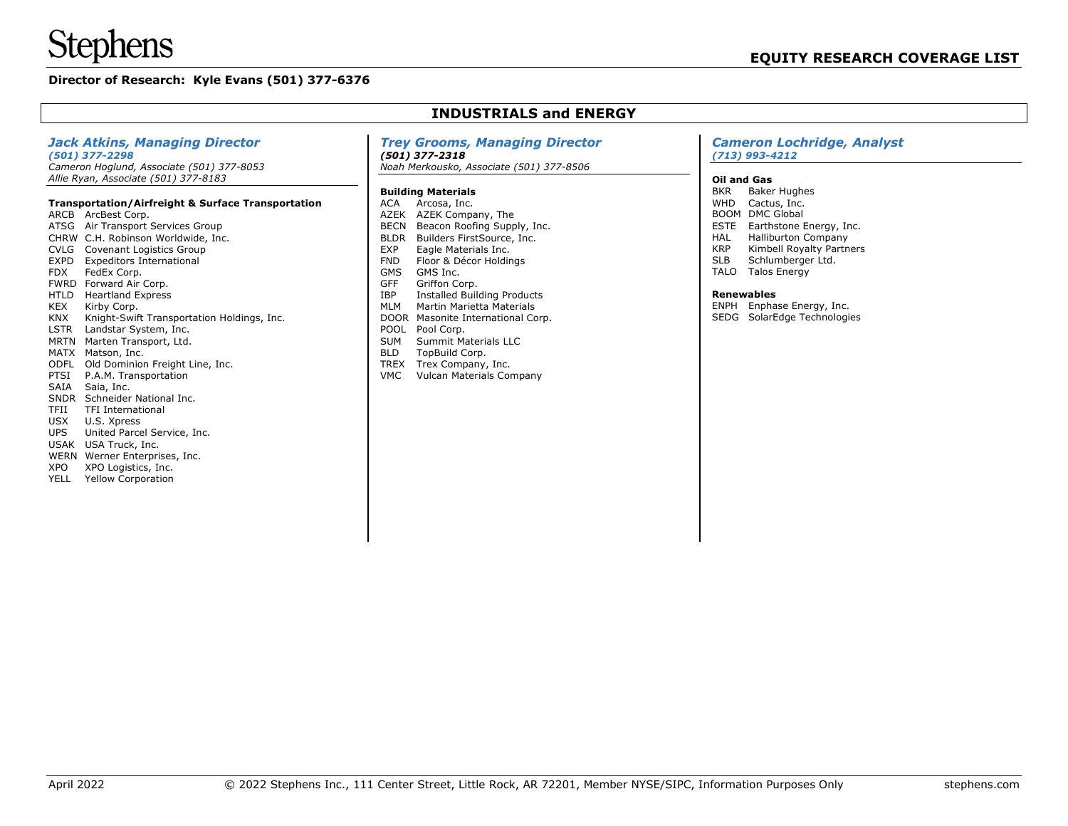WERN Werner Enterprises, Inc. XPO XPO Logistics, Inc. YELL Yellow Corporation

# **Director of Research: Kyle Evans (501) 377-6376**

#### *Jack Atkins, Managing Director (501) 377-2298 Cameron Hoglund, Associate (501) 377-8053 Allie Ryan, Associate (501) 377-8183* **Transportation/Airfreight & Surface Transportation** ARCB ArcBest Corp. ATSG Air Transport Services Group CHRW C.H. Robinson Worldwide, Inc. CVLG Covenant Logistics Group EXPD Expeditors International FDX FedEx Corp. FWRD Forward Air Corp. HTLD Heartland Express<br>KEX Kirby Corp. Kirby Corp. KNX Knight-Swift Transportation Holdings, Inc. LSTR Landstar System, Inc. MRTN Marten Transport, Ltd. MATX Matson, Inc. ODFL Old Dominion Freight Line, Inc. PTSI P.A.M. Transportation SAIA Saia, Inc. SNDR Schneider National Inc. TFII TFI International USX U.S. Xpress UPS United Parcel Service, Inc. USAK USA Truck, Inc. *Trey Grooms, Managing Director (501) 377-2318 Noah Merkousko, Associate (501) 377-8506* **Building Materials** ACA Arcosa, Inc. AZEK AZEK Company, The BECN Beacon Roofing Supply, Inc. BLDR Builders FirstSource, Inc. EXP Eagle Materials Inc.<br>FND Floor & Décor Holdir Floor & Décor Holdings GMS GMS Inc. GFF Griffon Corp.<br>IBP Installed Build Installed Building Products MLM Martin Marietta Materials DOOR Masonite International Corp. POOL Pool Corp. SUM Summit Materials LLC BLD TopBuild Corp. TREX Trex Company, Inc. VMC Vulcan Materials Company *Cameron Lochridge, Analyst (713) 993-4212* **Oil and Gas** BKR Baker Hughes WHD Cactus, Inc. BOOM DMC Global ESTE Earthstone Energy, Inc. HAL Halliburton Company<br>KRP Kimbell Rovalty Partn KRP Kimbell Royalty Partners<br>SLB Schlumberger Ltd. Schlumberger Ltd. TALO Talos Energy **Renewables** ENPH Enphase Energy, Inc. SEDG SolarEdge Technologies

**INDUSTRIALS and ENERGY**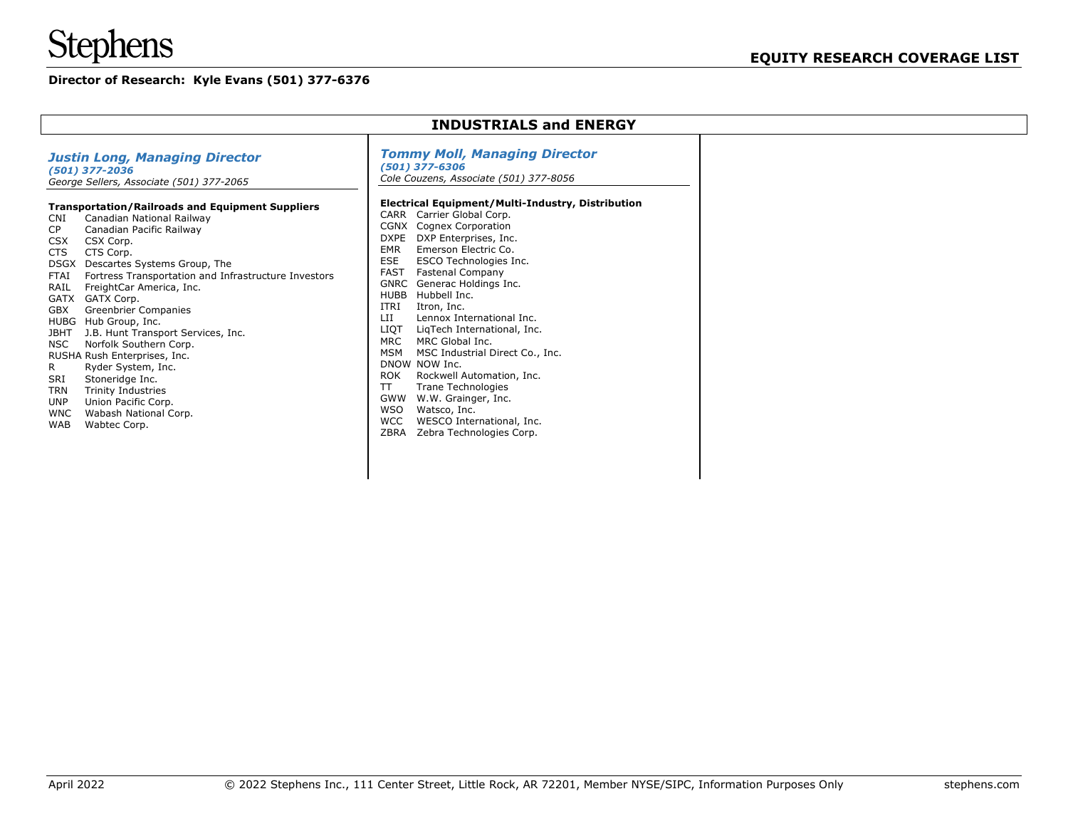# **Stephens**

# **Director of Research: Kyle Evans (501) 377-6376**

| <b>INDUSTRIALS and ENERGY</b>                                                                                                                                                                                                                                                                                                                                                                                                                                                                                                                                                                                                                                                                                                                                                                                                                                            |                                                                                                                                                                                                                                                                                                                                                                                                                                                                                                                                                                                                                                                                                                                                                                                                                                                                                                              |  |  |  |
|--------------------------------------------------------------------------------------------------------------------------------------------------------------------------------------------------------------------------------------------------------------------------------------------------------------------------------------------------------------------------------------------------------------------------------------------------------------------------------------------------------------------------------------------------------------------------------------------------------------------------------------------------------------------------------------------------------------------------------------------------------------------------------------------------------------------------------------------------------------------------|--------------------------------------------------------------------------------------------------------------------------------------------------------------------------------------------------------------------------------------------------------------------------------------------------------------------------------------------------------------------------------------------------------------------------------------------------------------------------------------------------------------------------------------------------------------------------------------------------------------------------------------------------------------------------------------------------------------------------------------------------------------------------------------------------------------------------------------------------------------------------------------------------------------|--|--|--|
| <b>Justin Long, Managing Director</b><br>(501) 377-2036<br>George Sellers, Associate (501) 377-2065<br><b>Transportation/Railroads and Equipment Suppliers</b><br>Canadian National Railway<br><b>CNI</b><br>CP<br>Canadian Pacific Railway<br><b>CSX</b><br>CSX Corp.<br>CTS Corp.<br><b>CTS</b><br><b>DSGX</b><br>Descartes Systems Group, The<br>Fortress Transportation and Infrastructure Investors<br><b>FTAI</b><br>FreightCar America, Inc.<br>RAIL<br>GATX<br>GATX Corp.<br><b>GBX</b><br>Greenbrier Companies<br>HUBG Hub Group, Inc.<br>J.B. Hunt Transport Services, Inc.<br><b>JBHT</b><br>Norfolk Southern Corp.<br><b>NSC</b><br>RUSHA Rush Enterprises, Inc.<br>Ryder System, Inc.<br>R<br>Stoneridge Inc.<br>SRI<br>Trinity Industries<br><b>TRN</b><br>Union Pacific Corp.<br>UNP<br><b>WNC</b><br>Wabash National Corp.<br>Wabtec Corp.<br><b>WAB</b> | <b>Tommy Moll, Managing Director</b><br>$(501)$ 377-6306<br>Cole Couzens, Associate (501) 377-8056<br>Electrical Equipment/Multi-Industry, Distribution<br>Carrier Global Corp.<br><b>CARR</b><br>Cognex Corporation<br><b>CGNX</b><br>DXP Enterprises, Inc.<br><b>DXPE</b><br><b>EMR</b><br>Emerson Electric Co.<br><b>ESE</b><br>ESCO Technologies Inc.<br><b>FAST</b><br><b>Fastenal Company</b><br><b>GNRC</b><br>Generac Holdings Inc.<br><b>HUBB</b><br>Hubbell Inc.<br>ITRI<br>Itron, Inc.<br>LII<br>Lennox International Inc.<br><b>LIQT</b><br>LigTech International, Inc.<br>MRC Global Inc.<br><b>MRC</b><br><b>MSM</b><br>MSC Industrial Direct Co., Inc.<br>DNOW NOW Inc.<br><b>ROK</b><br>Rockwell Automation, Inc.<br>$\top$<br>Trane Technologies<br>GWW<br>W.W. Grainger, Inc.<br><b>WSO</b><br>Watsco, Inc.<br><b>WCC</b><br>WESCO International, Inc.<br>ZBRA<br>Zebra Technologies Corp. |  |  |  |